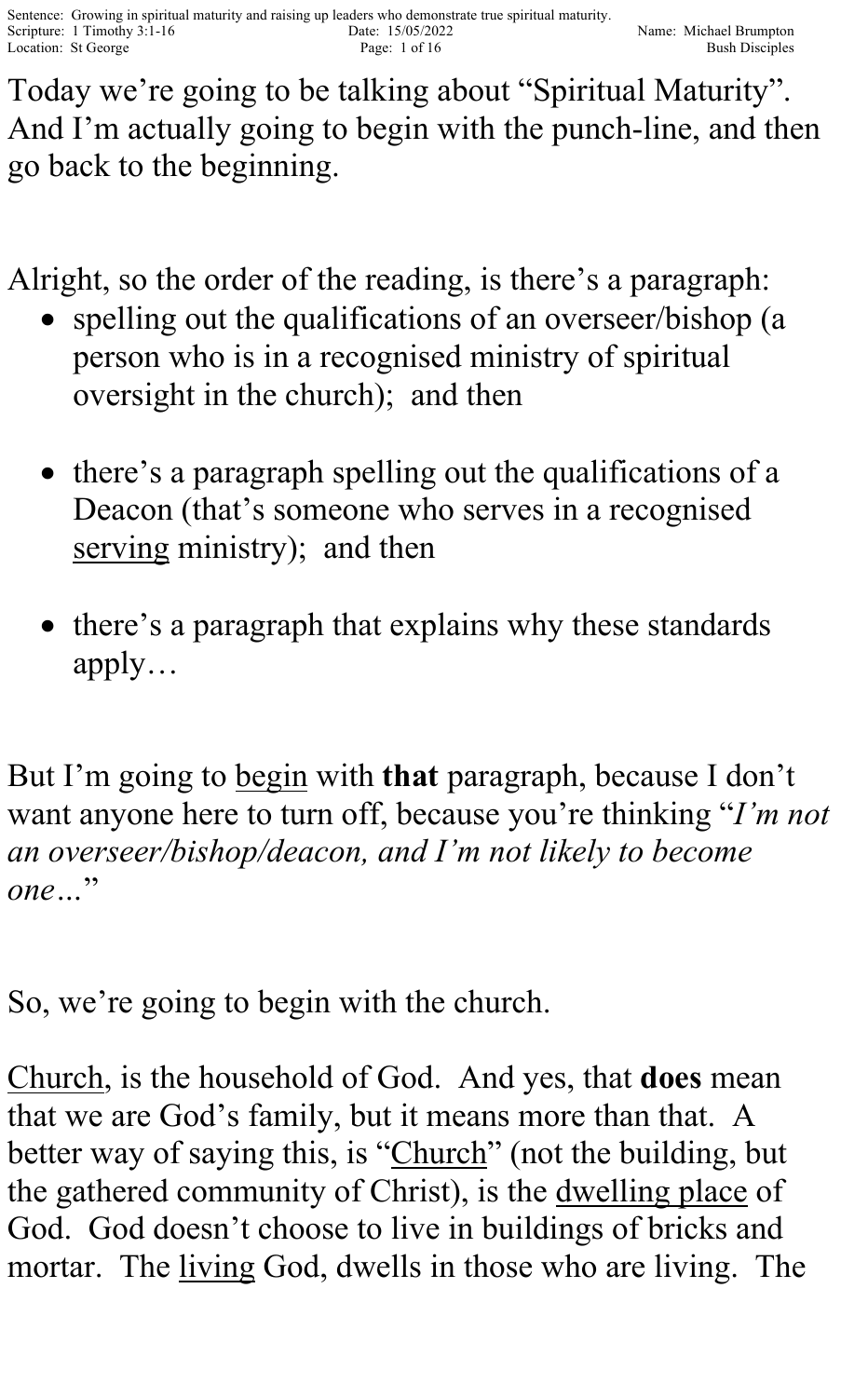Today we're going to be talking about "Spiritual Maturity". And I'm actually going to begin with the punch-line, and then go back to the beginning.

Alright, so the order of the reading, is there's a paragraph:

- spelling out the qualifications of an overseer/bishop (a person who is in a recognised ministry of spiritual oversight in the church); and then
- there's a paragraph spelling out the qualifications of a Deacon (that's someone who serves in a recognised serving ministry); and then
- there's a paragraph that explains why these standards apply…

But I'm going to begin with **that** paragraph, because I don't want anyone here to turn off, because you're thinking "*I'm not an overseer/bishop/deacon, and I'm not likely to become one…*"

So, we're going to begin with the church.

Church, is the household of God. And yes, that **does** mean that we are God's family, but it means more than that. A better way of saying this, is "Church" (not the building, but the gathered community of Christ), is the dwelling place of God. God doesn't choose to live in buildings of bricks and mortar. The living God, dwells in those who are living. The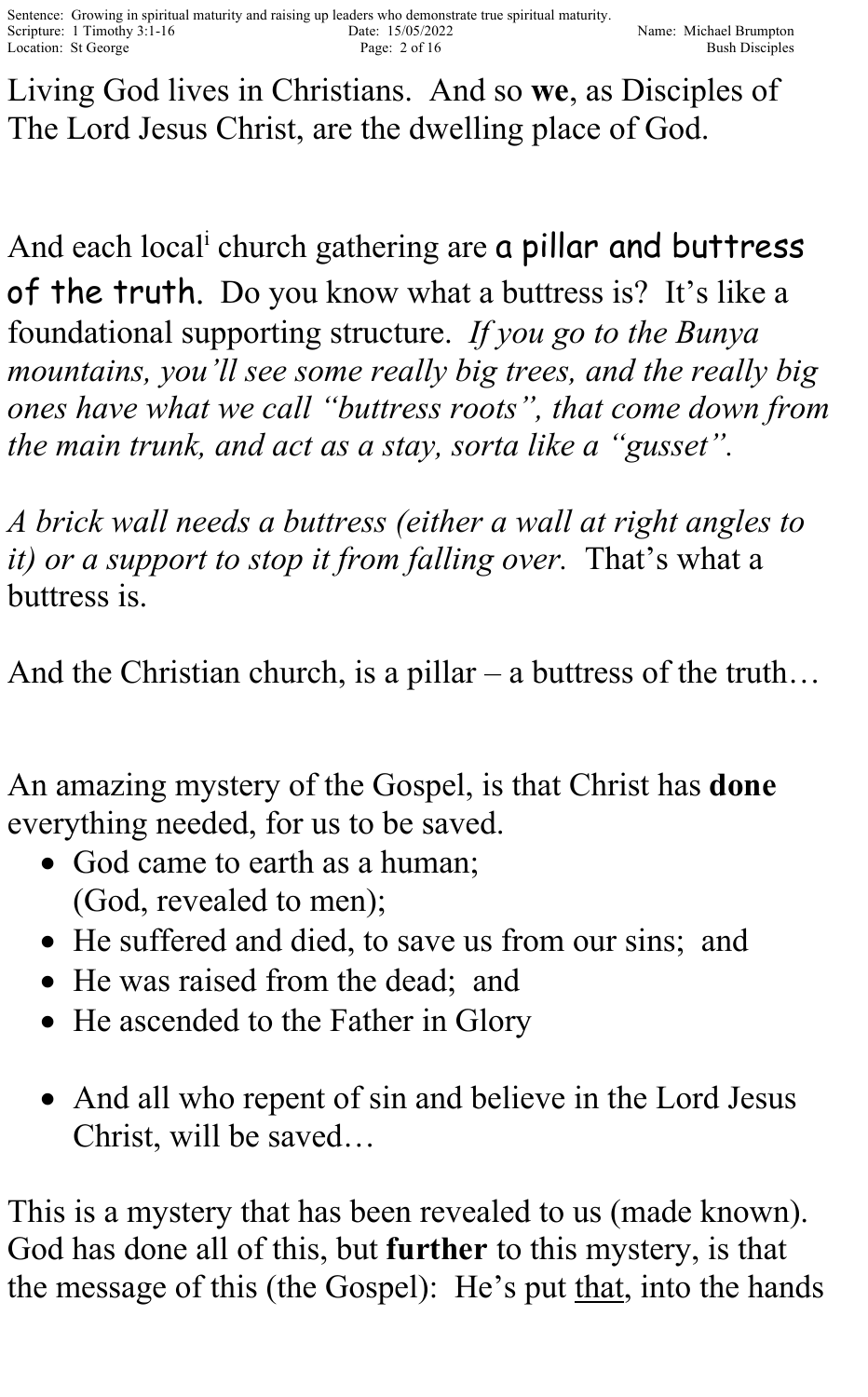Living God lives in Christians. And so **we**, as Disciples of The Lord Jesus Christ, are the dwelling place of God.

And each local<sup>i</sup> church gathering are **a pillar and buttress** of the truth. Do you know what a buttress is? It's like a foundational supporting structure. *If you go to the Bunya mountains, you'll see some really big trees, and the really big ones have what we call "buttress roots", that come down from the main trunk, and act as a stay, sorta like a "gusset".* 

*A brick wall needs a buttress (either a wall at right angles to it) or a support to stop it from falling over.* That's what a buttress is.

And the Christian church, is a pillar – a buttress of the truth...

An amazing mystery of the Gospel, is that Christ has **done** everything needed, for us to be saved.

- God came to earth as a human; (God, revealed to men);
- He suffered and died, to save us from our sins; and
- He was raised from the dead; and
- He ascended to the Father in Glory
- And all who repent of sin and believe in the Lord Jesus Christ, will be saved…

This is a mystery that has been revealed to us (made known). God has done all of this, but **further** to this mystery, is that the message of this (the Gospel): He's put that, into the hands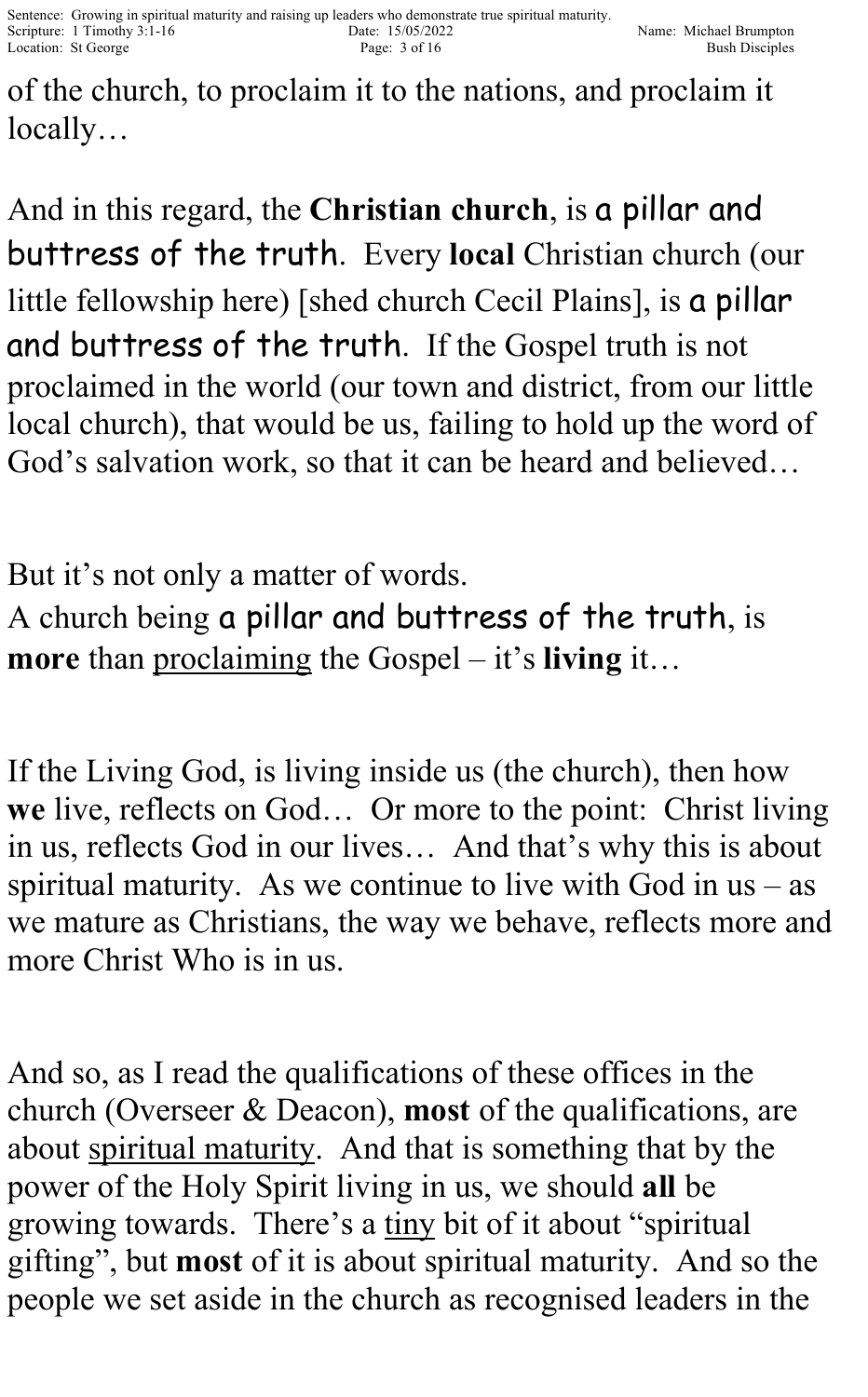of the church, to proclaim it to the nations, and proclaim it locally…

And in this regard, the **Christian church**, is a pillar and buttress of the truth. Every **local** Christian church (our little fellowship here) [shed church Cecil Plains], is a pillar and buttress of the truth. If the Gospel truth is not proclaimed in the world (our town and district, from our little local church), that would be us, failing to hold up the word of God's salvation work, so that it can be heard and believed…

But it's not only a matter of words. A church being a pillar and buttress of the truth, is **more** than proclaiming the Gospel – it's **living** it…

If the Living God, is living inside us (the church), then how **we** live, reflects on God… Or more to the point: Christ living in us, reflects God in our lives… And that's why this is about spiritual maturity. As we continue to live with God in  $us - as$ we mature as Christians, the way we behave, reflects more and more Christ Who is in us.

And so, as I read the qualifications of these offices in the church (Overseer & Deacon), **most** of the qualifications, are about spiritual maturity. And that is something that by the power of the Holy Spirit living in us, we should **all** be growing towards. There's a tiny bit of it about "spiritual gifting", but **most** of it is about spiritual maturity. And so the people we set aside in the church as recognised leaders in the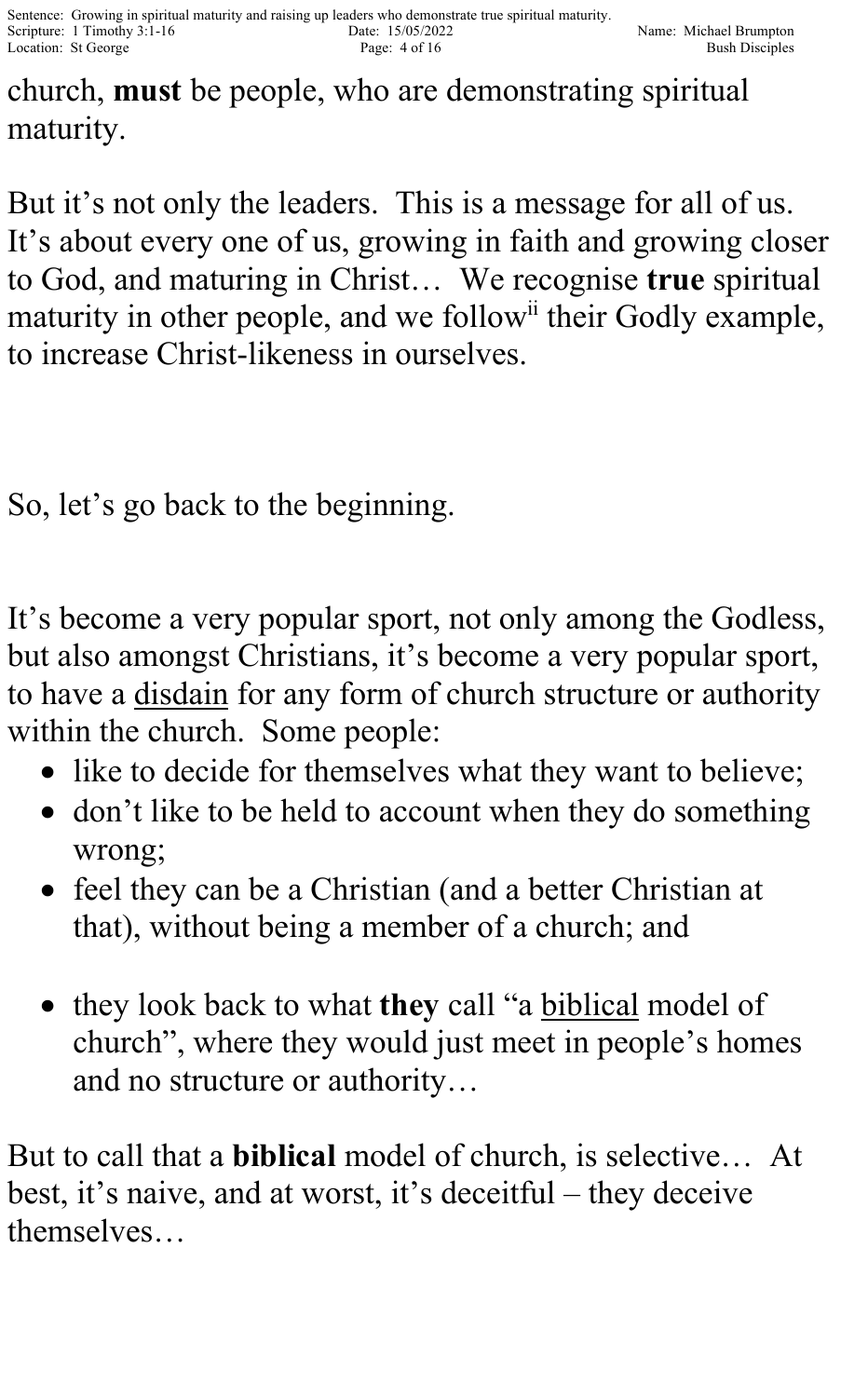church, **must** be people, who are demonstrating spiritual maturity.

But it's not only the leaders. This is a message for all of us. It's about every one of us, growing in faith and growing closer to God, and maturing in Christ… We recognise **true** spiritual maturity in other people, and we follow<sup>ii</sup> their Godly example, to increase Christ-likeness in ourselves.

So, let's go back to the beginning.

It's become a very popular sport, not only among the Godless, but also amongst Christians, it's become a very popular sport, to have a disdain for any form of church structure or authority within the church. Some people:

- like to decide for themselves what they want to believe;
- don't like to be held to account when they do something wrong;
- feel they can be a Christian (and a better Christian at that), without being a member of a church; and
- they look back to what **they** call "a biblical model of church", where they would just meet in people's homes and no structure or authority…

But to call that a **biblical** model of church, is selective… At best, it's naive, and at worst, it's deceitful – they deceive themselves…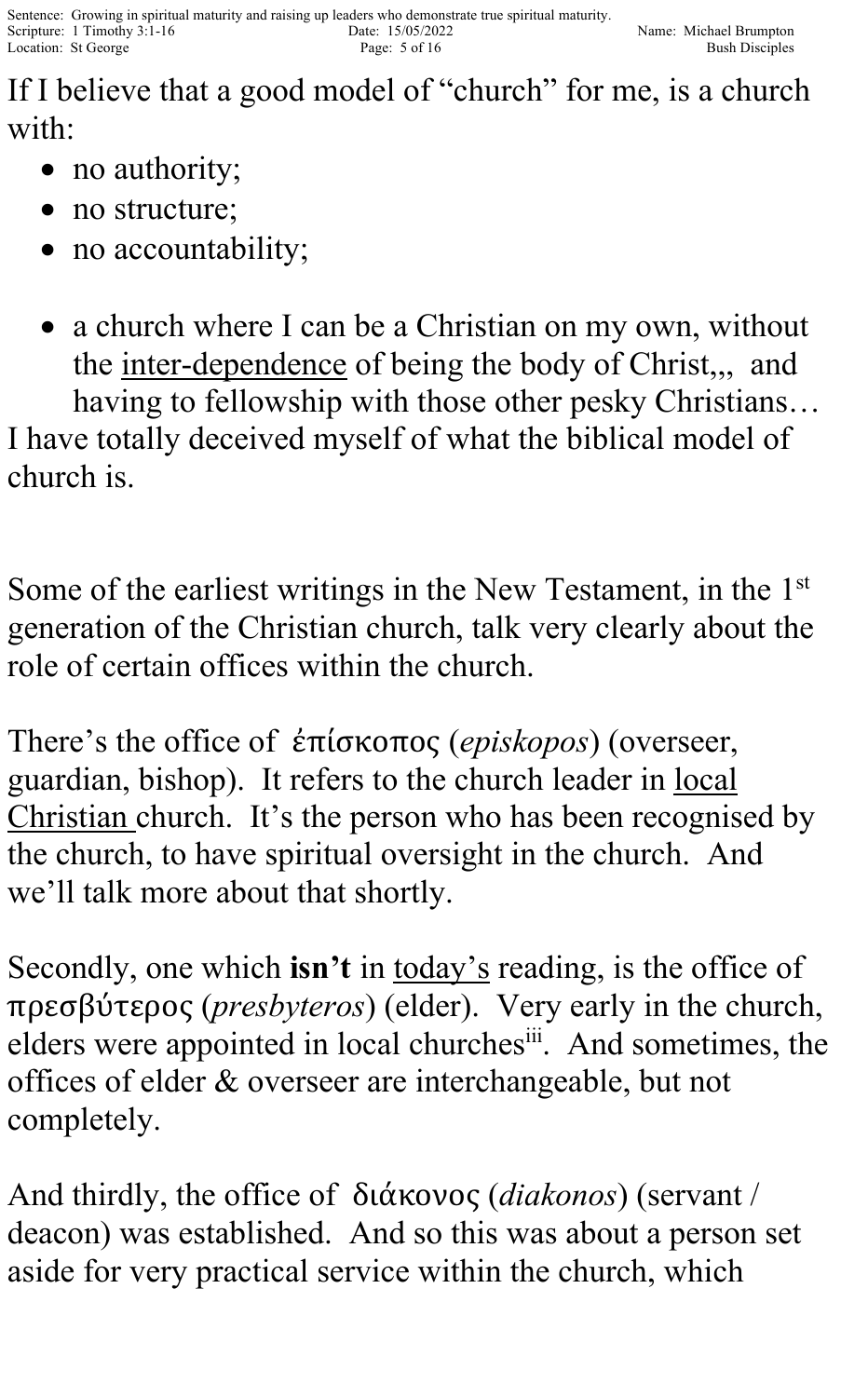If I believe that a good model of "church" for me, is a church with:

- no authority;
- no structure;
- no accountability;
- a church where I can be a Christian on my own, without the inter-dependence of being the body of Christ,,, and

having to fellowship with those other pesky Christians… I have totally deceived myself of what the biblical model of church is.

Some of the earliest writings in the New Testament, in the 1<sup>st</sup> generation of the Christian church, talk very clearly about the role of certain offices within the church.

There's the office of ἐπίσκοπος (*episkopos*) (overseer, guardian, bishop). It refers to the church leader in local Christian church. It's the person who has been recognised by the church, to have spiritual oversight in the church. And we'll talk more about that shortly.

Secondly, one which **isn't** in today's reading, is the office of πρεσβύτερος (*presbyteros*) (elder). Very early in the church, elders were appointed in local churchesiii. And sometimes, the offices of elder & overseer are interchangeable, but not completely.

And thirdly, the office of διάκονος (*diakonos*) (servant / deacon) was established. And so this was about a person set aside for very practical service within the church, which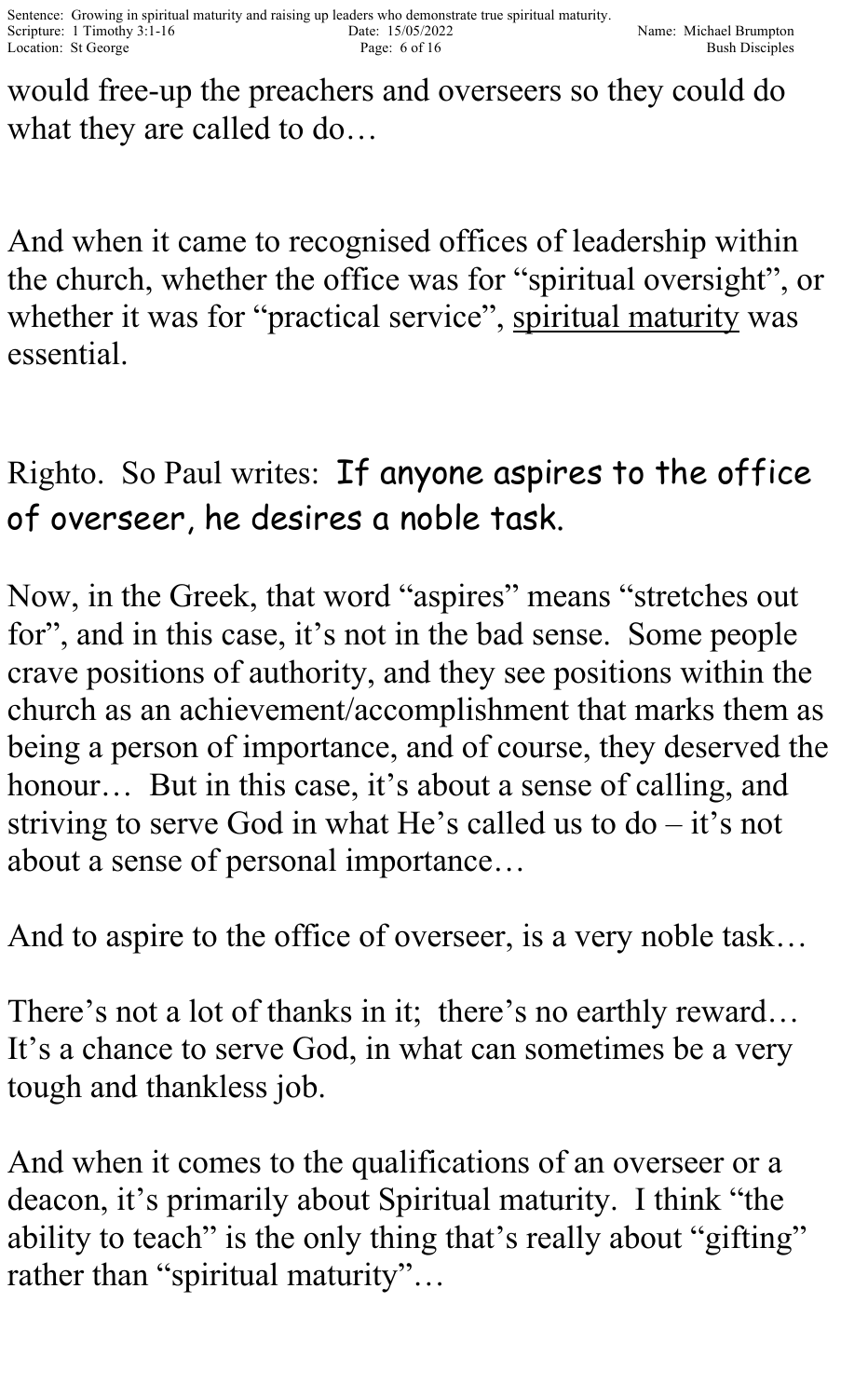would free-up the preachers and overseers so they could do what they are called to do…

And when it came to recognised offices of leadership within the church, whether the office was for "spiritual oversight", or whether it was for "practical service", spiritual maturity was essential.

## Righto. So Paul writes: If anyone aspires to the office of overseer, he desires a noble task.

Now, in the Greek, that word "aspires" means "stretches out for", and in this case, it's not in the bad sense. Some people crave positions of authority, and they see positions within the church as an achievement/accomplishment that marks them as being a person of importance, and of course, they deserved the honour... But in this case, it's about a sense of calling, and striving to serve God in what He's called us to  $do - it$ 's not about a sense of personal importance…

And to aspire to the office of overseer, is a very noble task…

There's not a lot of thanks in it; there's no earthly reward... It's a chance to serve God, in what can sometimes be a very tough and thankless job.

And when it comes to the qualifications of an overseer or a deacon, it's primarily about Spiritual maturity. I think "the ability to teach" is the only thing that's really about "gifting" rather than "spiritual maturity"…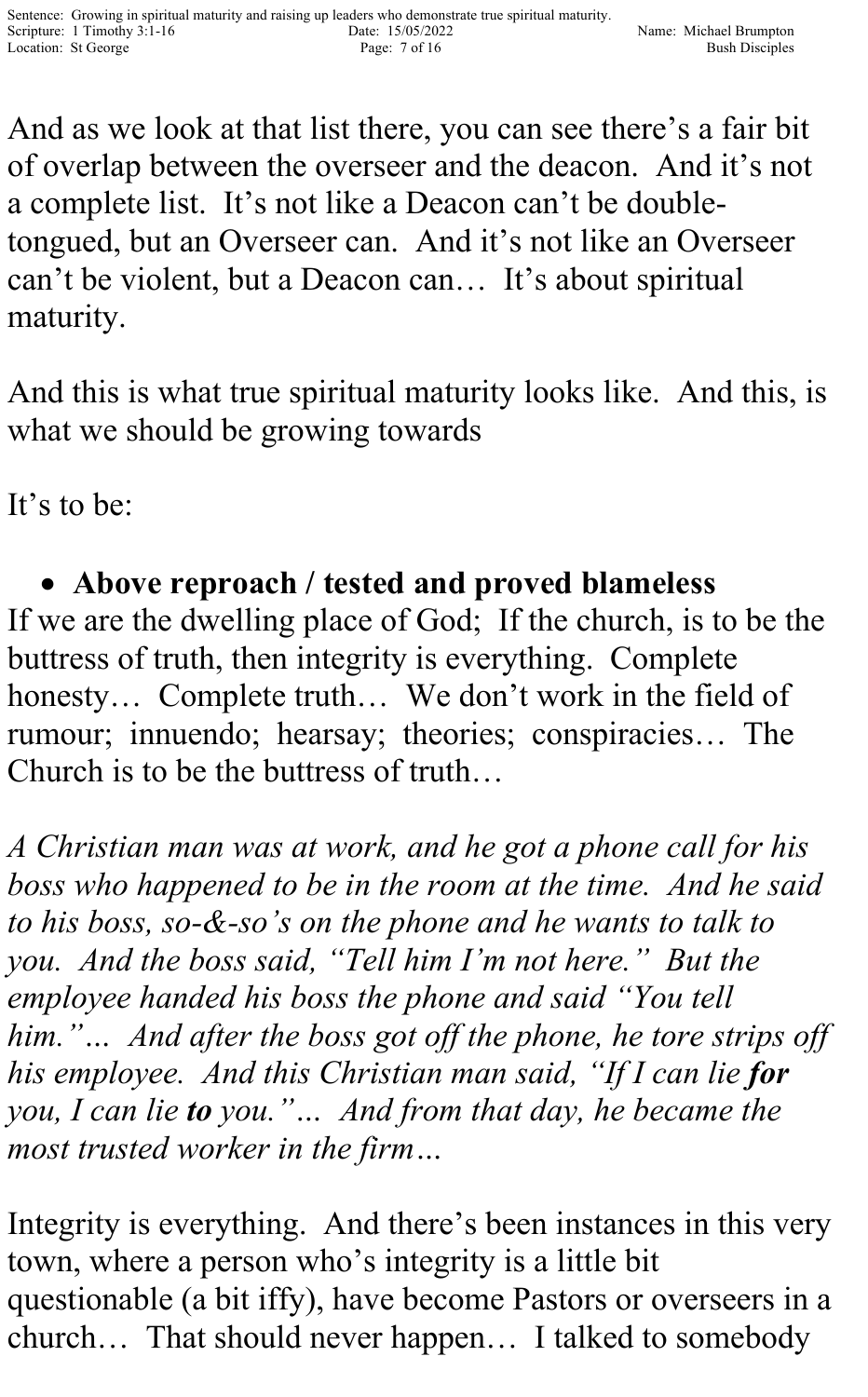And as we look at that list there, you can see there's a fair bit of overlap between the overseer and the deacon. And it's not a complete list. It's not like a Deacon can't be doubletongued, but an Overseer can. And it's not like an Overseer can't be violent, but a Deacon can… It's about spiritual maturity.

And this is what true spiritual maturity looks like. And this, is what we should be growing towards

It's to be:

• **Above reproach / tested and proved blameless** If we are the dwelling place of God; If the church, is to be the buttress of truth, then integrity is everything. Complete honesty… Complete truth… We don't work in the field of rumour; innuendo; hearsay; theories; conspiracies… The Church is to be the buttress of truth…

*A Christian man was at work, and he got a phone call for his boss who happened to be in the room at the time. And he said to his boss, so-&-so's on the phone and he wants to talk to you. And the boss said, "Tell him I'm not here." But the employee handed his boss the phone and said "You tell him."… And after the boss got off the phone, he tore strips off his employee. And this Christian man said, "If I can lie for you, I can lie to you."… And from that day, he became the most trusted worker in the firm…*

Integrity is everything. And there's been instances in this very town, where a person who's integrity is a little bit questionable (a bit iffy), have become Pastors or overseers in a church… That should never happen… I talked to somebody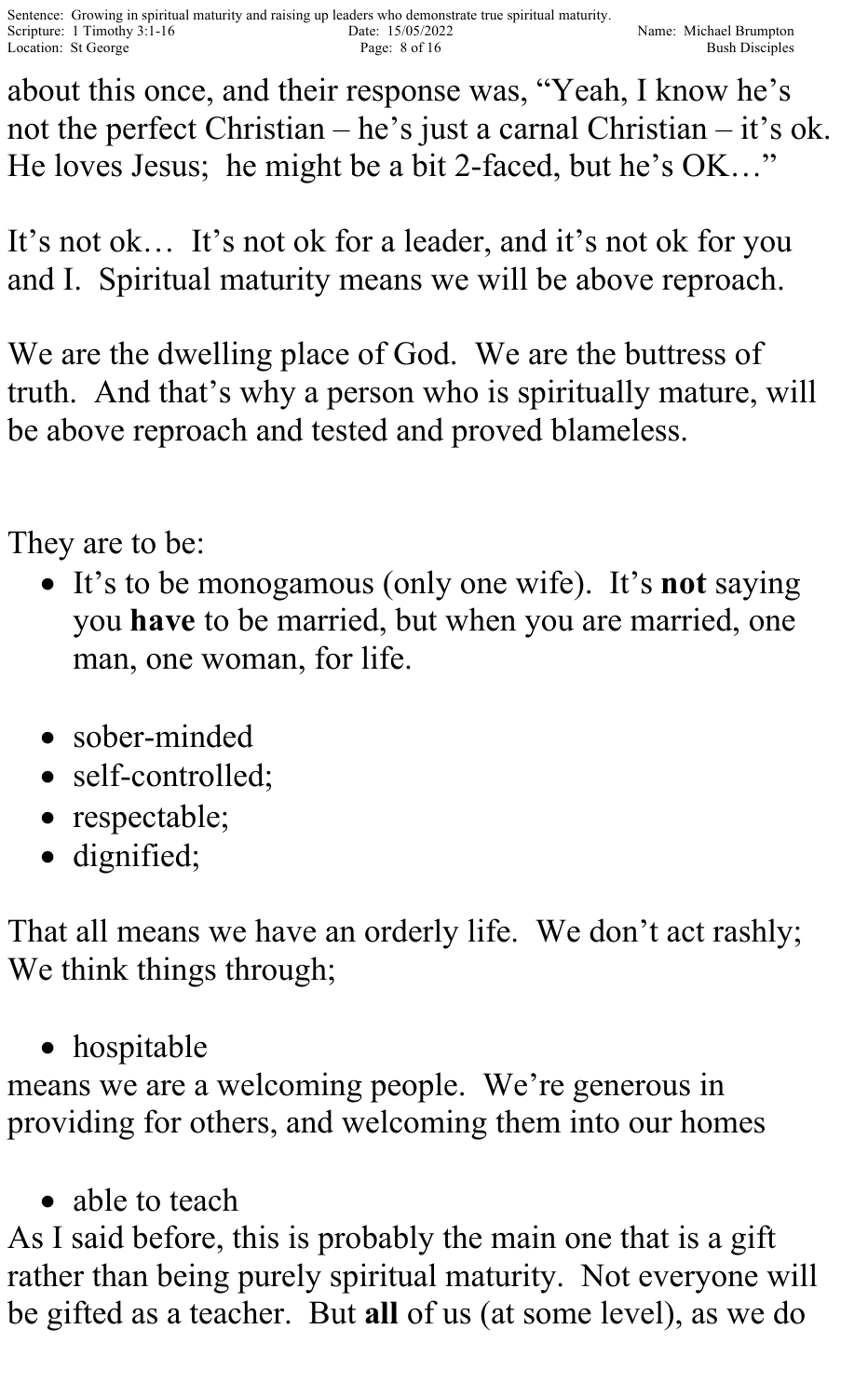about this once, and their response was, "Yeah, I know he's not the perfect Christian – he's just a carnal Christian – it's ok. He loves Jesus; he might be a bit 2-faced, but he's OK…"

It's not ok… It's not ok for a leader, and it's not ok for you and I. Spiritual maturity means we will be above reproach.

We are the dwelling place of God. We are the buttress of truth. And that's why a person who is spiritually mature, will be above reproach and tested and proved blameless.

They are to be:

- It's to be monogamous (only one wife). It's **not** saying you **have** to be married, but when you are married, one man, one woman, for life.
- sober-minded
- self-controlled;
- respectable;
- dignified;

That all means we have an orderly life. We don't act rashly; We think things through;

• hospitable

means we are a welcoming people. We're generous in providing for others, and welcoming them into our homes

• able to teach

As I said before, this is probably the main one that is a gift rather than being purely spiritual maturity. Not everyone will be gifted as a teacher. But **all** of us (at some level), as we do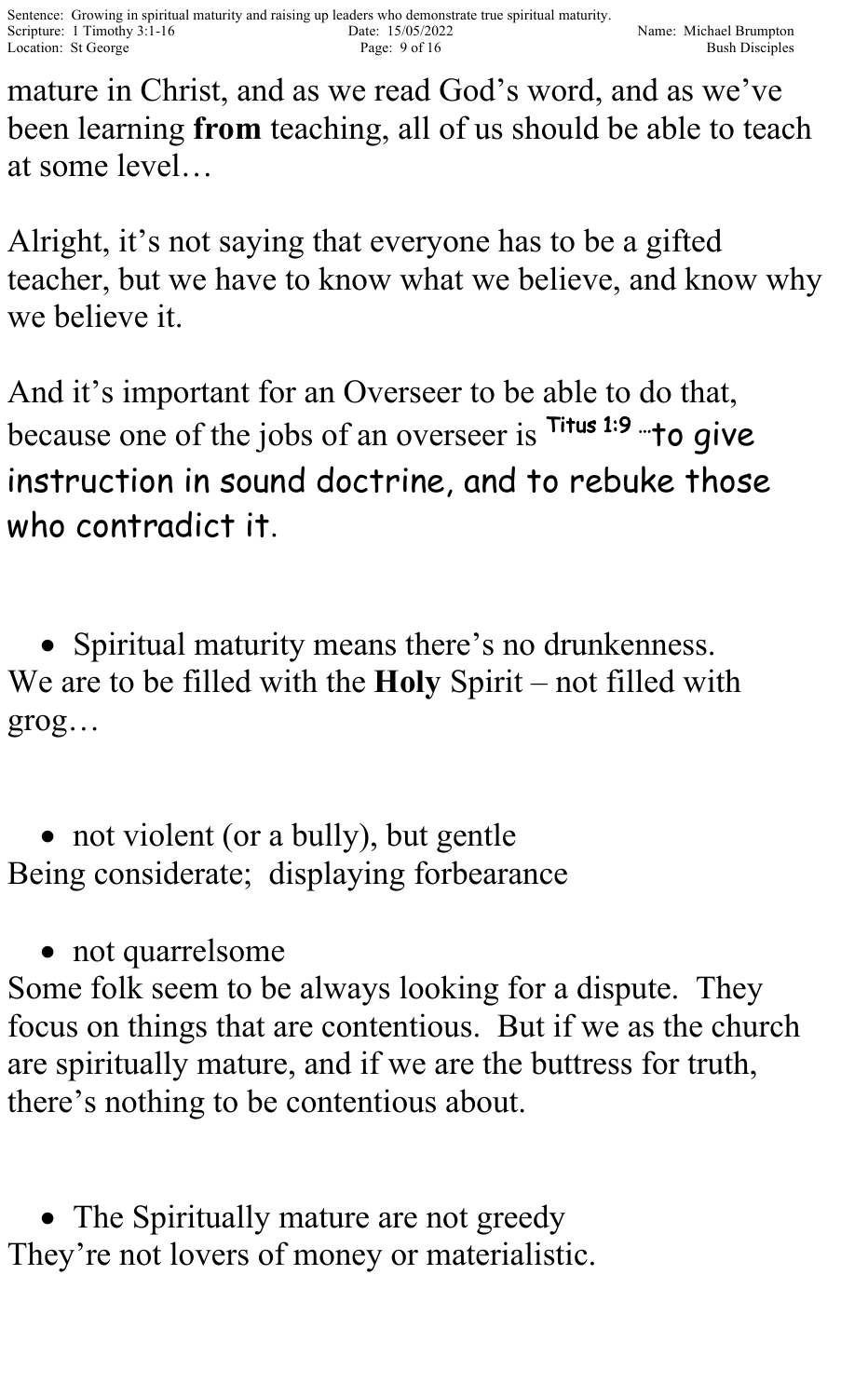mature in Christ, and as we read God's word, and as we've been learning **from** teaching, all of us should be able to teach at some level…

Alright, it's not saying that everyone has to be a gifted teacher, but we have to know what we believe, and know why we believe it.

And it's important for an Overseer to be able to do that, because one of the jobs of an overseer is <sup>Titus 1:9</sup> <sup>---</sup> to give instruction in sound doctrine, and to rebuke those who contradict it.

• Spiritual maturity means there's no drunkenness. We are to be filled with the **Holy** Spirit – not filled with grog…

• not violent (or a bully), but gentle Being considerate; displaying forbearance

• not quarrelsome

Some folk seem to be always looking for a dispute. They focus on things that are contentious. But if we as the church are spiritually mature, and if we are the buttress for truth, there's nothing to be contentious about.

• The Spiritually mature are not greedy They're not lovers of money or materialistic.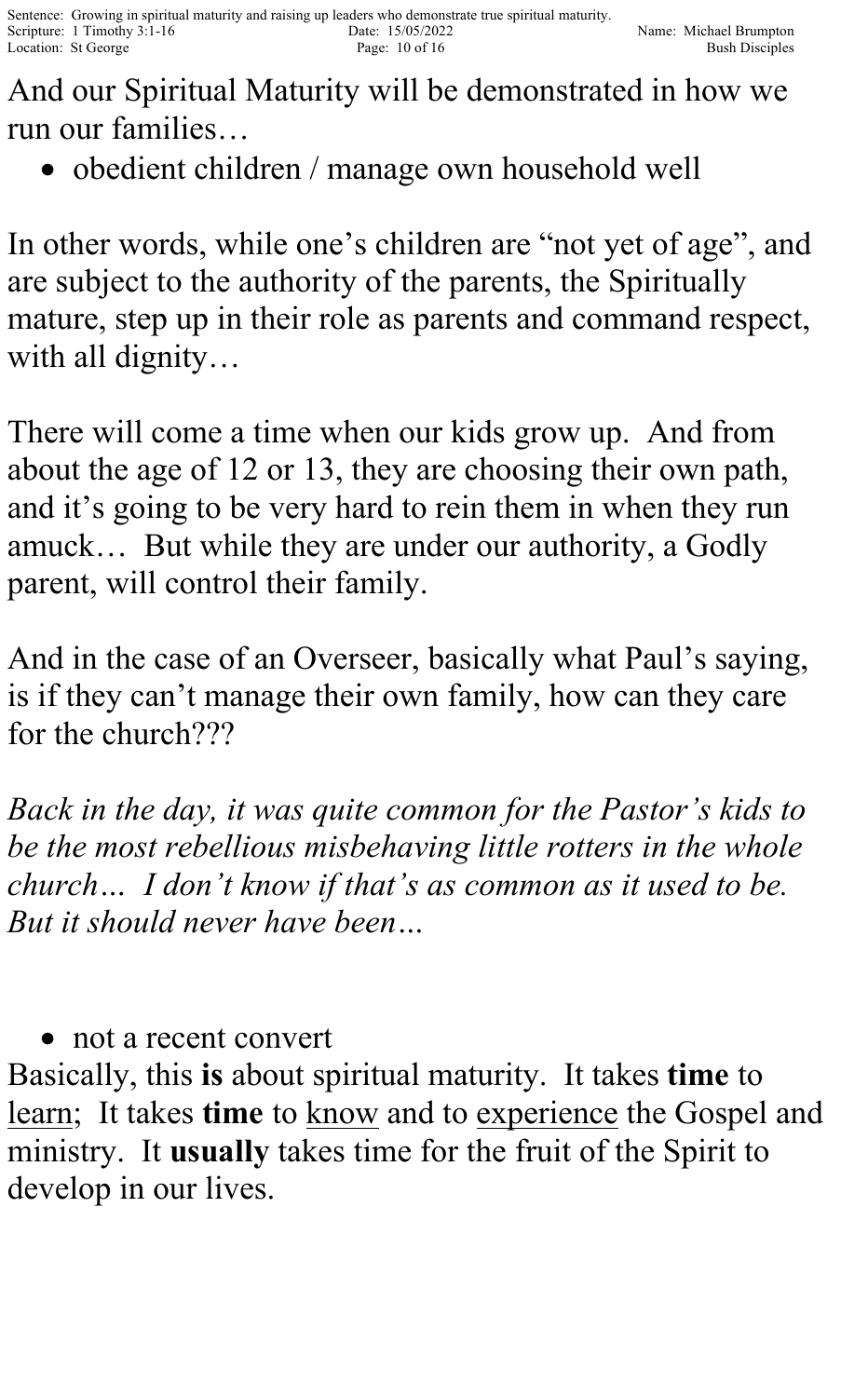And our Spiritual Maturity will be demonstrated in how we run our families…

• obedient children / manage own household well

In other words, while one's children are "not yet of age", and are subject to the authority of the parents, the Spiritually mature, step up in their role as parents and command respect, with all dignity…

There will come a time when our kids grow up. And from about the age of 12 or 13, they are choosing their own path, and it's going to be very hard to rein them in when they run amuck… But while they are under our authority, a Godly parent, will control their family.

And in the case of an Overseer, basically what Paul's saying, is if they can't manage their own family, how can they care for the church???

*Back in the day, it was quite common for the Pastor's kids to be the most rebellious misbehaving little rotters in the whole church… I don't know if that's as common as it used to be. But it should never have been…*

• not a recent convert

Basically, this **is** about spiritual maturity. It takes **time** to learn; It takes time to know and to experience the Gospel and ministry. It **usually** takes time for the fruit of the Spirit to develop in our lives.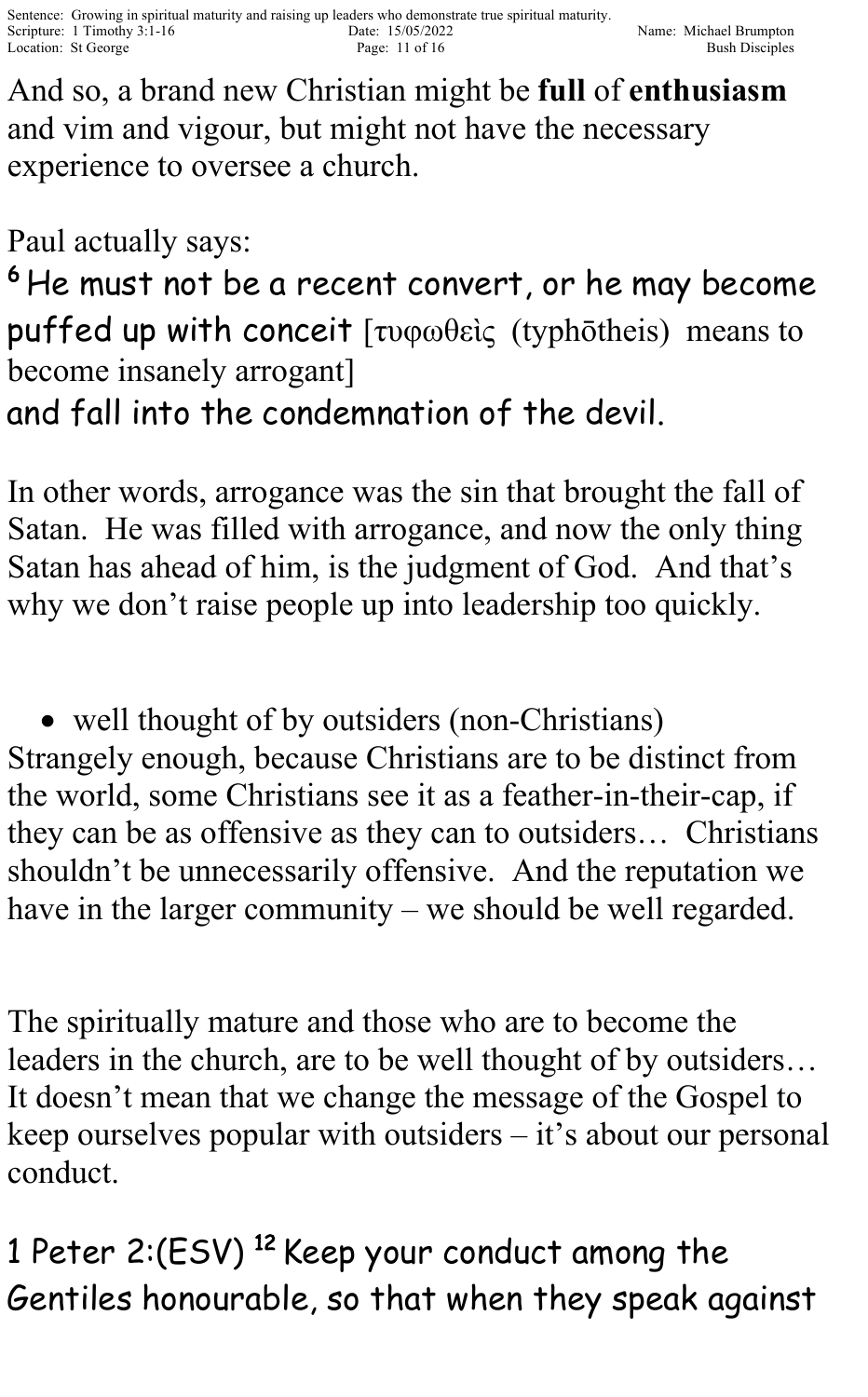And so, a brand new Christian might be **full** of **enthusiasm** and vim and vigour, but might not have the necessary experience to oversee a church.

Paul actually says:

<sup>6</sup> He must not be a recent convert, or he may become puffed up with conceit [τυφωθεὶς (typhōtheis) means to become insanely arrogant]

and fall into the condemnation of the devil.

In other words, arrogance was the sin that brought the fall of Satan. He was filled with arrogance, and now the only thing Satan has ahead of him, is the judgment of God. And that's why we don't raise people up into leadership too quickly.

• well thought of by outsiders (non-Christians) Strangely enough, because Christians are to be distinct from the world, some Christians see it as a feather-in-their-cap, if they can be as offensive as they can to outsiders… Christians shouldn't be unnecessarily offensive. And the reputation we have in the larger community – we should be well regarded.

The spiritually mature and those who are to become the leaders in the church, are to be well thought of by outsiders… It doesn't mean that we change the message of the Gospel to keep ourselves popular with outsiders – it's about our personal conduct.

1 Peter 2:(ESV) <sup>12</sup> Keep your conduct among the Gentiles honourable, so that when they speak against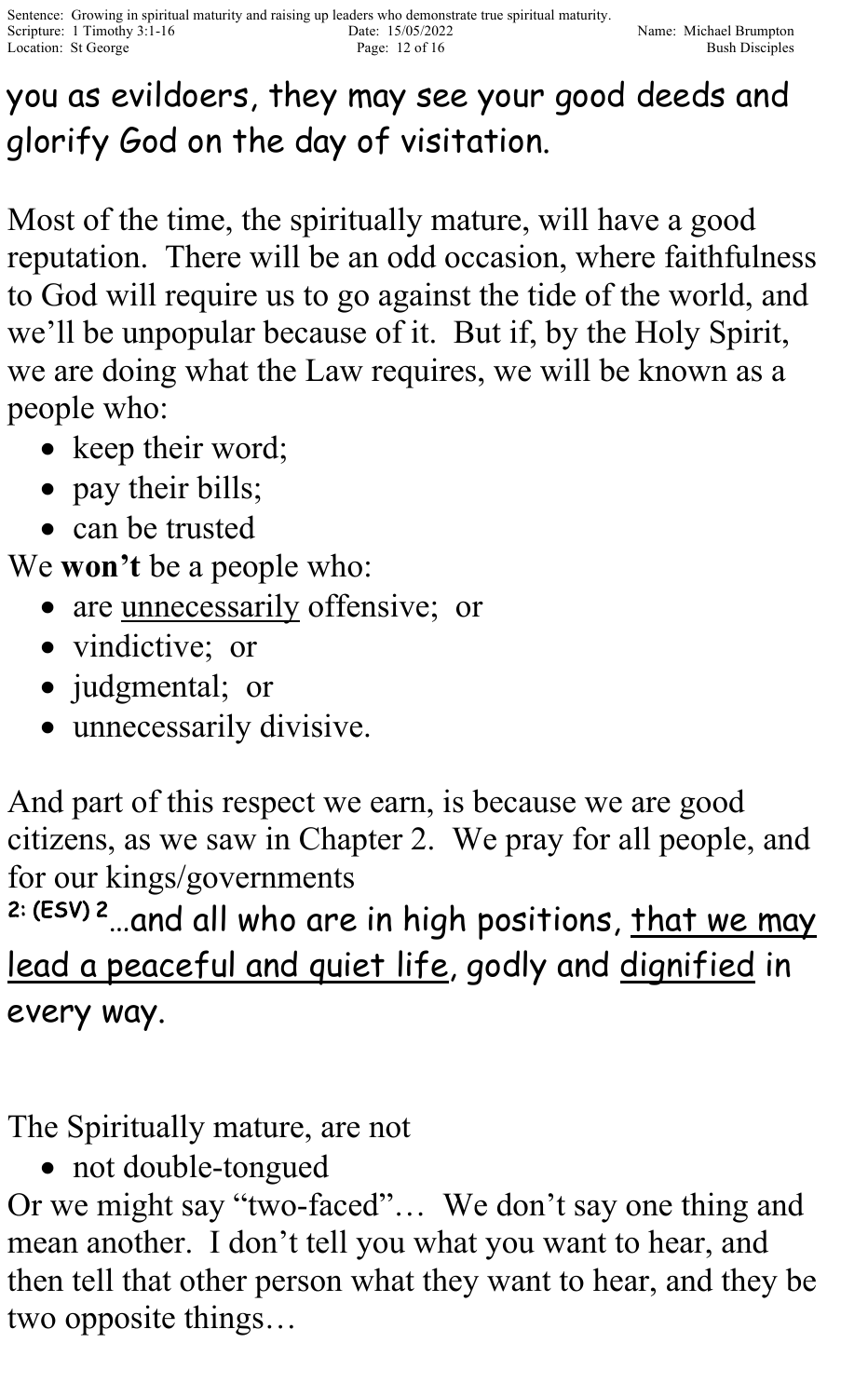## you as evildoers, they may see your good deeds and glorify God on the day of visitation.

Most of the time, the spiritually mature, will have a good reputation. There will be an odd occasion, where faithfulness to God will require us to go against the tide of the world, and we'll be unpopular because of it. But if, by the Holy Spirit, we are doing what the Law requires, we will be known as a people who:

- keep their word;
- pay their bills;
- can be trusted

We **won't** be a people who:

- are unnecessarily offensive; or
- vindictive; or
- judgmental; or
- unnecessarily divisive.

And part of this respect we earn, is because we are good citizens, as we saw in Chapter 2. We pray for all people, and for our kings/governments

<sup>2: (ESV) 2</sup> ...and all who are in high positions, <u>that we may</u> lead a peaceful and quiet life, godly and dignified in every way.

The Spiritually mature, are not

• not double-tongued

Or we might say "two-faced"… We don't say one thing and mean another. I don't tell you what you want to hear, and then tell that other person what they want to hear, and they be two opposite things…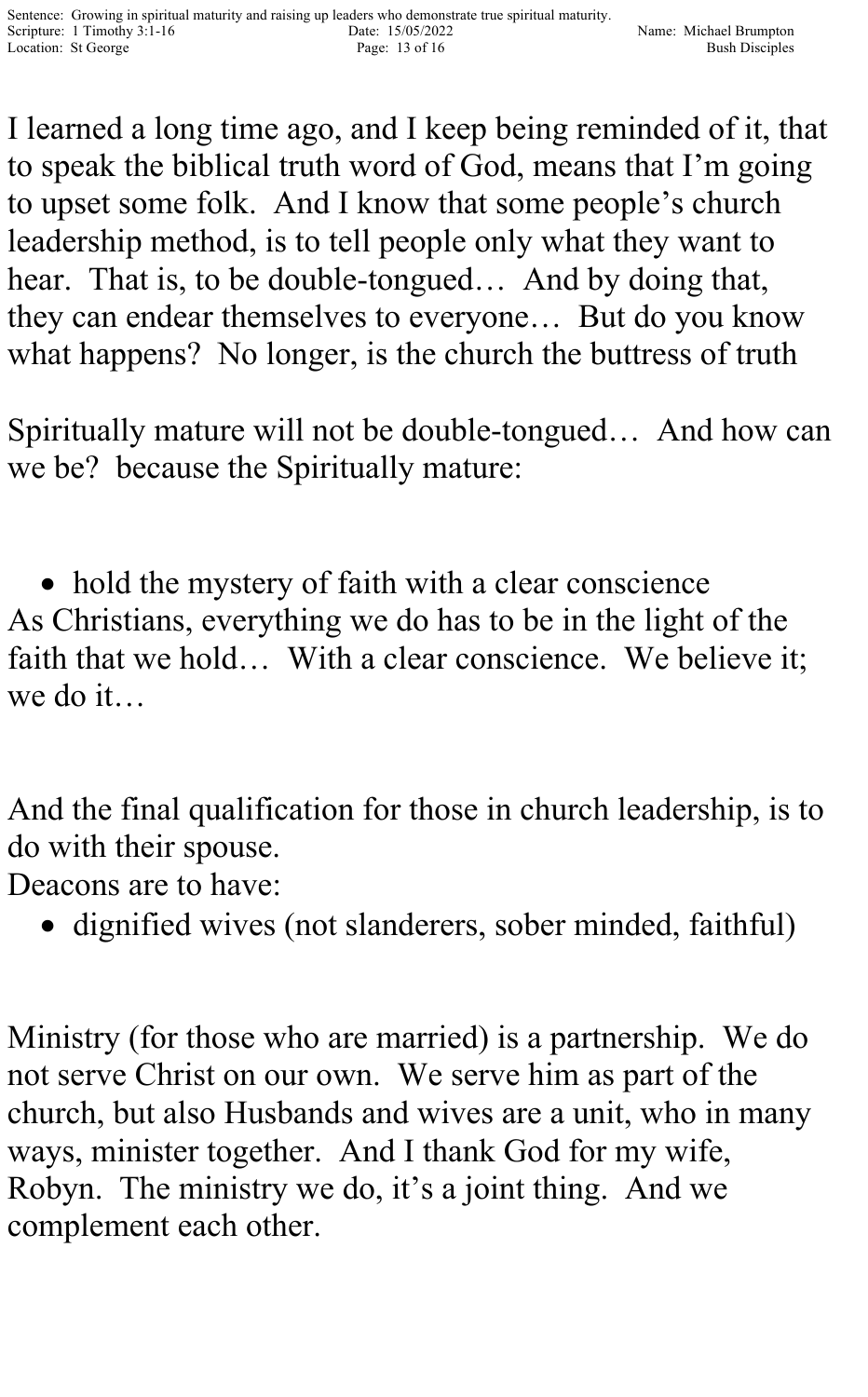I learned a long time ago, and I keep being reminded of it, that to speak the biblical truth word of God, means that I'm going to upset some folk. And I know that some people's church leadership method, is to tell people only what they want to hear. That is, to be double-tongued... And by doing that, they can endear themselves to everyone… But do you know what happens? No longer, is the church the buttress of truth

Spiritually mature will not be double-tongued… And how can we be? because the Spiritually mature:

• hold the mystery of faith with a clear conscience As Christians, everything we do has to be in the light of the faith that we hold... With a clear conscience. We believe it; we do it…

And the final qualification for those in church leadership, is to do with their spouse.

Deacons are to have:

• dignified wives (not slanderers, sober minded, faithful)

Ministry (for those who are married) is a partnership. We do not serve Christ on our own. We serve him as part of the church, but also Husbands and wives are a unit, who in many ways, minister together. And I thank God for my wife, Robyn. The ministry we do, it's a joint thing. And we complement each other.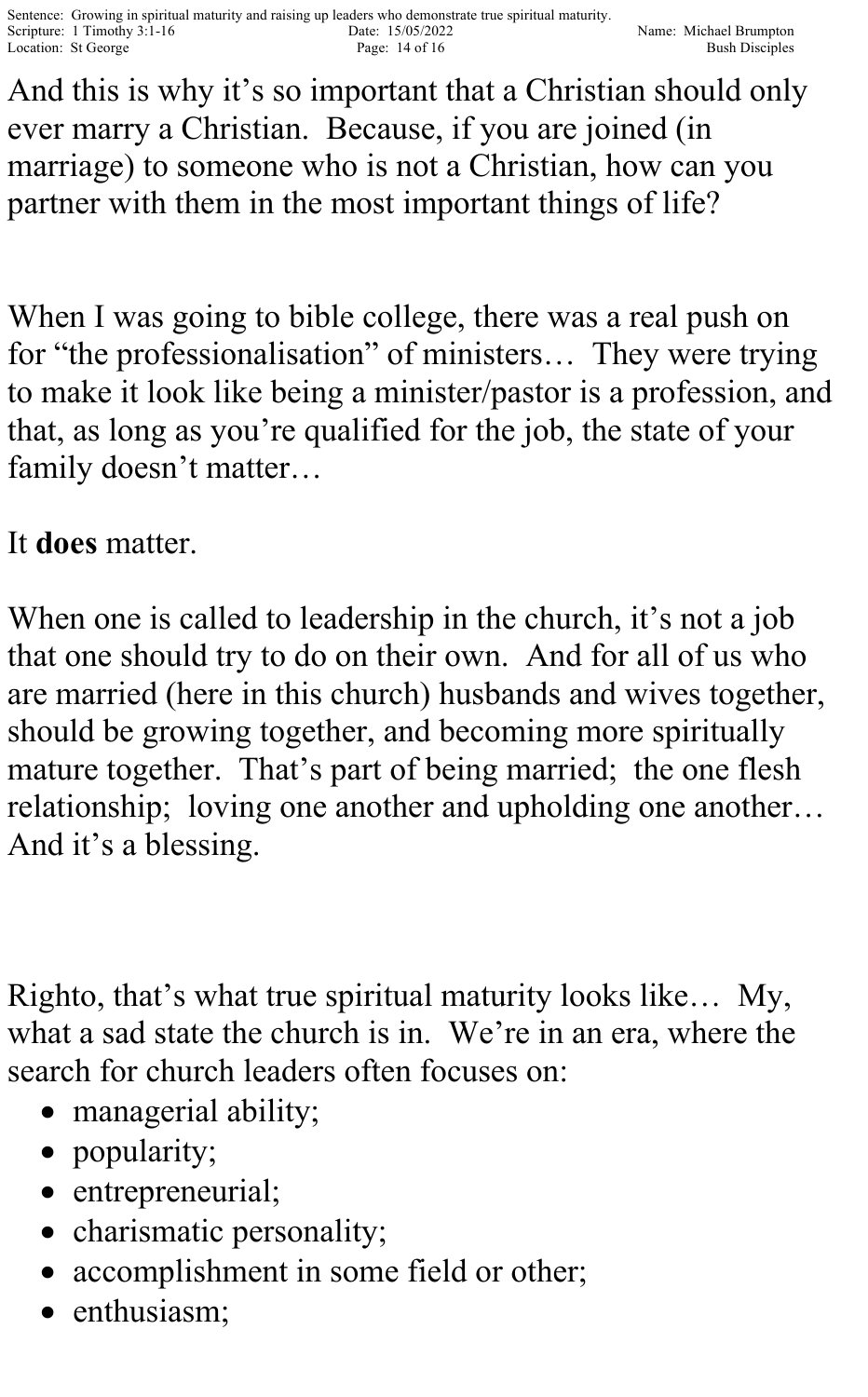And this is why it's so important that a Christian should only ever marry a Christian. Because, if you are joined (in marriage) to someone who is not a Christian, how can you partner with them in the most important things of life?

When I was going to bible college, there was a real push on for "the professionalisation" of ministers… They were trying to make it look like being a minister/pastor is a profession, and that, as long as you're qualified for the job, the state of your family doesn't matter…

## It **does** matter.

When one is called to leadership in the church, it's not a job that one should try to do on their own. And for all of us who are married (here in this church) husbands and wives together, should be growing together, and becoming more spiritually mature together. That's part of being married; the one flesh relationship; loving one another and upholding one another… And it's a blessing.

Righto, that's what true spiritual maturity looks like… My, what a sad state the church is in. We're in an era, where the search for church leaders often focuses on:

- managerial ability;
- popularity;
- entrepreneurial;
- charismatic personality;
- accomplishment in some field or other;
- enthusiasm;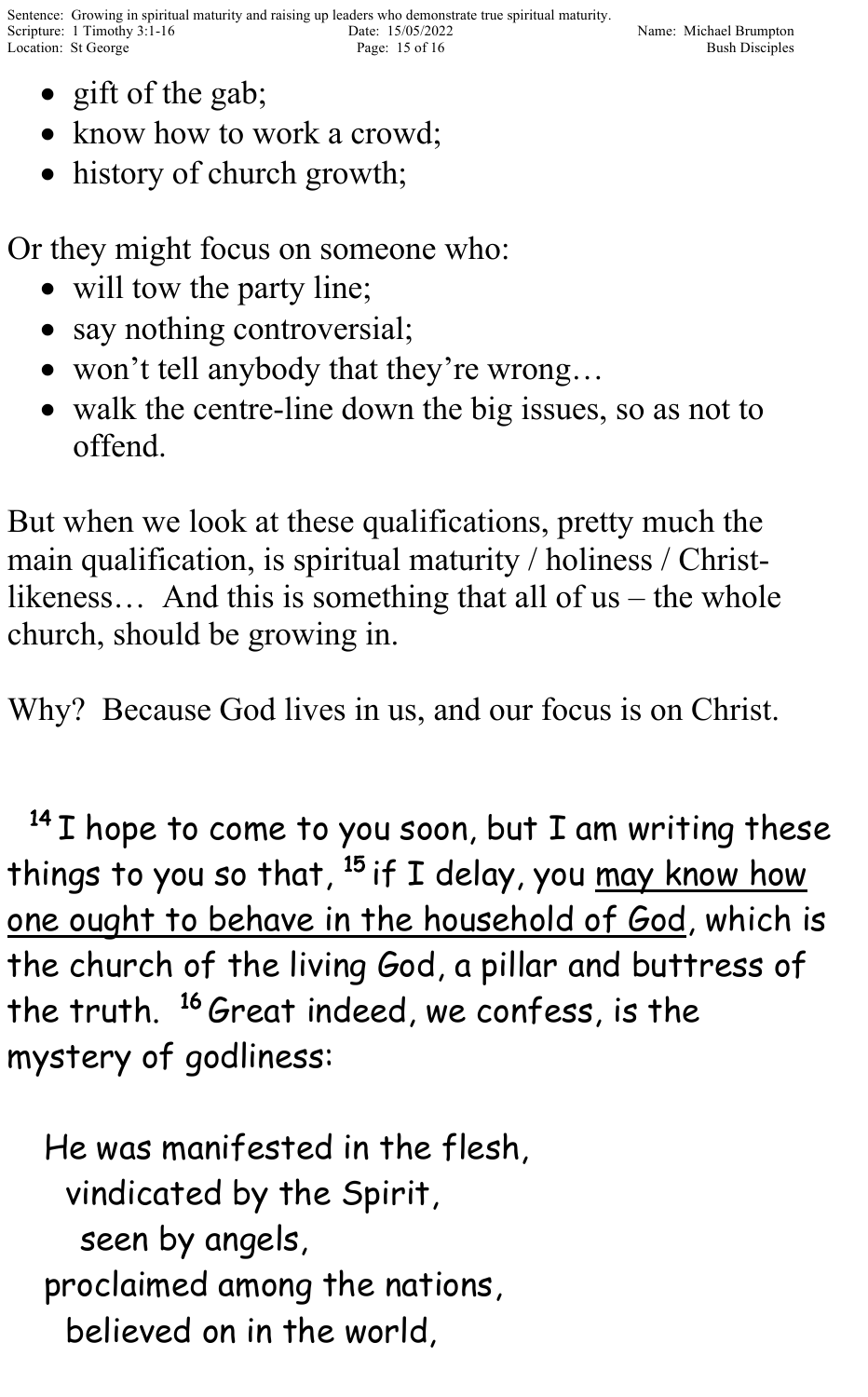- gift of the gab;
- know how to work a crowd;
- history of church growth;

Or they might focus on someone who:

- will tow the party line;
- say nothing controversial;
- won't tell anybody that they're wrong…
- walk the centre-line down the big issues, so as not to offend.

But when we look at these qualifications, pretty much the main qualification, is spiritual maturity / holiness / Christlikeness… And this is something that all of us – the whole church, should be growing in.

Why? Because God lives in us, and our focus is on Christ.

 $^{14}$  I hope to come to you soon, but I am writing these things to you so that,  $^{15}$  if I delay, you <u>may know how</u> one ought to behave in the household of God, which is the church of the living God, a pillar and buttress of the truth. <sup>16</sup> Great indeed, we confess, is the mystery of godliness:

He was manifested in the flesh, vindicated by the Spirit, seen by angels, proclaimed among the nations, believed on in the world,